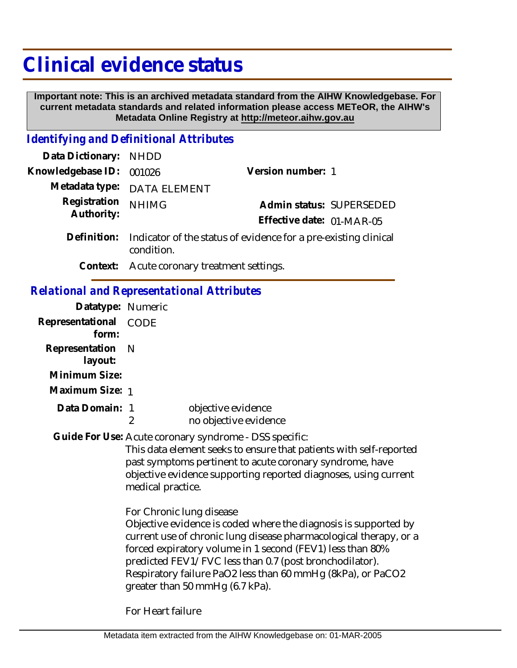# **Clinical evidence status**

 **Important note: This is an archived metadata standard from the AIHW Knowledgebase. For current metadata standards and related information please access METeOR, the AIHW's Metadata Online Registry at http://meteor.aihw.gov.au**

## *Identifying and Definitional Attributes*

| Data Dictionary: NHDD      |                                                                             |                           |  |
|----------------------------|-----------------------------------------------------------------------------|---------------------------|--|
| Knowledgebase ID: 001026   |                                                                             | Version number: 1         |  |
|                            | Metadata type: DATA ELEMENT                                                 |                           |  |
| Registration<br>Authority: | <b>NHIMG</b>                                                                | Admin status: SUPERSEDED  |  |
|                            |                                                                             | Effective date: 01-MAR-05 |  |
|                            | Definition: Indicator of the status of evidence for a pre-existing clinical |                           |  |

Indicator of the status of evidence for a pre-existing clinical condition.

**Context:** Acute coronary treatment settings.

# *Relational and Representational Attributes*

| Datatype: Numeric        |                                                                                                                                                                                                                                                                                                                                                                |
|--------------------------|----------------------------------------------------------------------------------------------------------------------------------------------------------------------------------------------------------------------------------------------------------------------------------------------------------------------------------------------------------------|
| CODE                     |                                                                                                                                                                                                                                                                                                                                                                |
| N                        |                                                                                                                                                                                                                                                                                                                                                                |
| Maximum Size: 1          |                                                                                                                                                                                                                                                                                                                                                                |
| Data Domain: 1<br>2      | objective evidence<br>no objective evidence                                                                                                                                                                                                                                                                                                                    |
| medical practice.        | Guide For Use: Acute coronary syndrome - DSS specific:<br>This data element seeks to ensure that patients with self-reported<br>past symptoms pertinent to acute coronary syndrome, have<br>objective evidence supporting reported diagnoses, using current                                                                                                    |
| For Chronic lung disease | Objective evidence is coded where the diagnosis is supported by<br>current use of chronic lung disease pharmacological therapy, or a<br>forced expiratory volume in 1 second (FEV1) less than 80%<br>predicted FEV1/FVC less than 0.7 (post bronchodilator).<br>Respiratory failure PaO2 less than 60 mmHg (8kPa), or PaCO2<br>greater than 50 mmHg (6.7 kPa). |
|                          |                                                                                                                                                                                                                                                                                                                                                                |

For Heart failure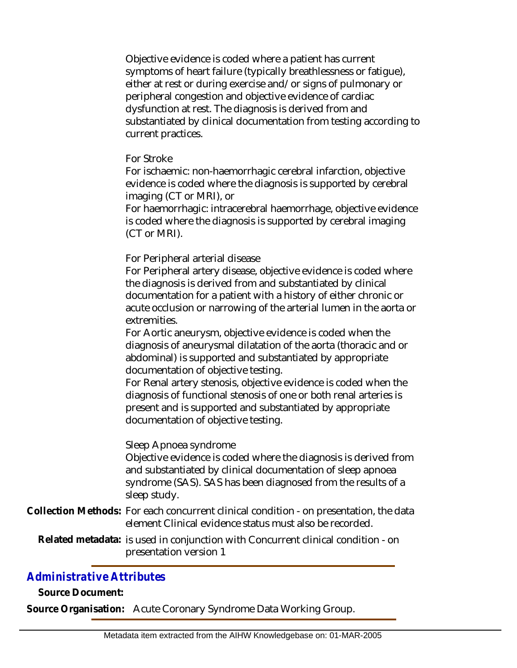Objective evidence is coded where a patient has current symptoms of heart failure (typically breathlessness or fatigue), either at rest or during exercise and/or signs of pulmonary or peripheral congestion and objective evidence of cardiac dysfunction at rest. The diagnosis is derived from and substantiated by clinical documentation from testing according to current practices.

#### For Stroke

For ischaemic: non-haemorrhagic cerebral infarction, objective evidence is coded where the diagnosis is supported by cerebral imaging (CT or MRI), or

For haemorrhagic: intracerebral haemorrhage, objective evidence is coded where the diagnosis is supported by cerebral imaging (CT or MRI).

For Peripheral arterial disease

For Peripheral artery disease, objective evidence is coded where the diagnosis is derived from and substantiated by clinical documentation for a patient with a history of either chronic or acute occlusion or narrowing of the arterial lumen in the aorta or extremities.

For Aortic aneurysm, objective evidence is coded when the diagnosis of aneurysmal dilatation of the aorta (thoracic and or abdominal) is supported and substantiated by appropriate documentation of objective testing.

For Renal artery stenosis, objective evidence is coded when the diagnosis of functional stenosis of one or both renal arteries is present and is supported and substantiated by appropriate documentation of objective testing.

#### Sleep Apnoea syndrome

Objective evidence is coded where the diagnosis is derived from and substantiated by clinical documentation of sleep apnoea syndrome (SAS). SAS has been diagnosed from the results of a sleep study.

Collection Methods: For each concurrent clinical condition - on presentation, the data element Clinical evidence status must also be recorded.

Related metadata: is used in conjunction with Concurrent clinical condition - on presentation version 1

### *Administrative Attributes*

**Source Document:**

**Source Organisation:** Acute Coronary Syndrome Data Working Group.